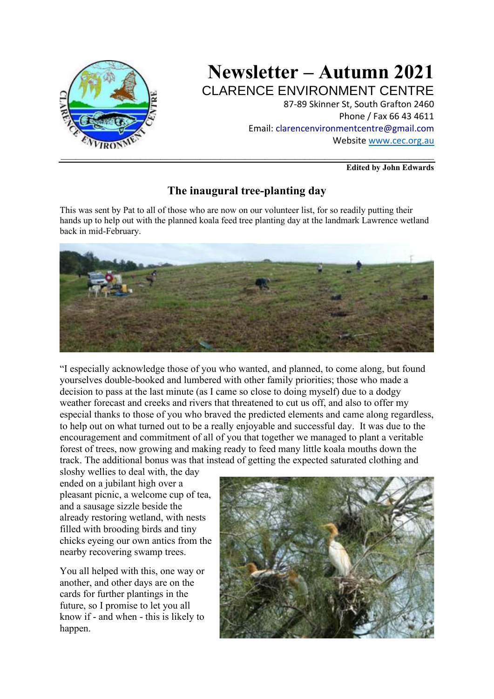

# **Newsletter – Autumn 2021** CLARENCE ENVIRONMENT CENTRE

87-89 Skinner St, South Grafton 2460 Phone / Fax 66 43 4611 Email: clarencenvironmentcentre@gmail.com Website www.cec.org.au

**Edited by John Edwards**

# **The inaugural tree-planting day**

This was sent by Pat to all of those who are now on our volunteer list, for so readily putting their hands up to help out with the planned koala feed tree planting day at the landmark Lawrence wetland back in mid-February.



"I especially acknowledge those of you who wanted, and planned, to come along, but found yourselves double-booked and lumbered with other family priorities; those who made a decision to pass at the last minute (as I came so close to doing myself) due to a dodgy weather forecast and creeks and rivers that threatened to cut us off, and also to offer my especial thanks to those of you who braved the predicted elements and came along regardless, to help out on what turned out to be a really enjoyable and successful day. It was due to the encouragement and commitment of all of you that together we managed to plant a veritable forest of trees, now growing and making ready to feed many little koala mouths down the track. The additional bonus was that instead of getting the expected saturated clothing and

sloshy wellies to deal with, the day ended on a jubilant high over a pleasant picnic, a welcome cup of tea, and a sausage sizzle beside the already restoring wetland, with nests filled with brooding birds and tiny chicks eyeing our own antics from the nearby recovering swamp trees.

You all helped with this, one way or another, and other days are on the cards for further plantings in the future, so I promise to let you all know if - and when - this is likely to happen.

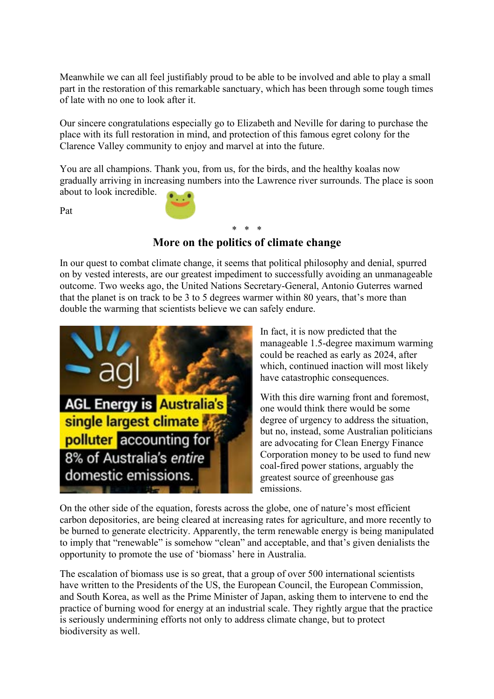Meanwhile we can all feel justifiably proud to be able to be involved and able to play a small part in the restoration of this remarkable sanctuary, which has been through some tough times of late with no one to look after it.

Our sincere congratulations especially go to Elizabeth and Neville for daring to purchase the place with its full restoration in mind, and protection of this famous egret colony for the Clarence Valley community to enjoy and marvel at into the future.

You are all champions. Thank you, from us, for the birds, and the healthy koalas now gradually arriving in increasing numbers into the Lawrence river surrounds. The place is soon about to look incredible.

Pat

## \* \* \* **More on the politics of climate change**

In our quest to combat climate change, it seems that political philosophy and denial, spurred on by vested interests, are our greatest impediment to successfully avoiding an unmanageable outcome. Two weeks ago, the United Nations Secretary-General, Antonio Guterres warned that the planet is on track to be 3 to 5 degrees warmer within 80 years, that's more than double the warming that scientists believe we can safely endure.



In fact, it is now predicted that the manageable 1.5-degree maximum warming could be reached as early as 2024, after which, continued inaction will most likely have catastrophic consequences.

With this dire warning front and foremost, one would think there would be some degree of urgency to address the situation, but no, instead, some Australian politicians are advocating for Clean Energy Finance Corporation money to be used to fund new coal-fired power stations, arguably the greatest source of greenhouse gas emissions.

On the other side of the equation, forests across the globe, one of nature's most efficient carbon depositories, are being cleared at increasing rates for agriculture, and more recently to be burned to generate electricity. Apparently, the term renewable energy is being manipulated to imply that "renewable" is somehow "clean" and acceptable, and that's given denialists the opportunity to promote the use of 'biomass' here in Australia.

The escalation of biomass use is so great, that a group of over 500 international scientists have written to the Presidents of the US, the European Council, the European Commission, and South Korea, as well as the Prime Minister of Japan, asking them to intervene to end the practice of burning wood for energy at an industrial scale. They rightly argue that the practice is seriously undermining efforts not only to address climate change, but to protect biodiversity as well.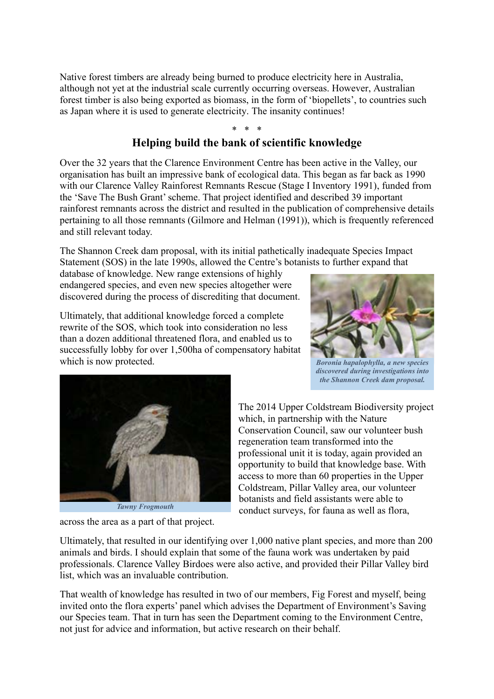Native forest timbers are already being burned to produce electricity here in Australia, although not yet at the industrial scale currently occurring overseas. However, Australian forest timber is also being exported as biomass, in the form of 'biopellets', to countries such as Japan where it is used to generate electricity. The insanity continues!

#### \* \* \* **Helping build the bank of scientific knowledge**

Over the 32 years that the Clarence Environment Centre has been active in the Valley, our organisation has built an impressive bank of ecological data. This began as far back as 1990 with our Clarence Valley Rainforest Remnants Rescue (Stage I Inventory 1991), funded from the 'Save The Bush Grant' scheme. That project identified and described 39 important rainforest remnants across the district and resulted in the publication of comprehensive details pertaining to all those remnants (Gilmore and Helman (1991)), which is frequently referenced and still relevant today.

The Shannon Creek dam proposal, with its initial pathetically inadequate Species Impact Statement (SOS) in the late 1990s, allowed the Centre's botanists to further expand that

database of knowledge. New range extensions of highly endangered species, and even new species altogether were discovered during the process of discrediting that document.

Ultimately, that additional knowledge forced a complete rewrite of the SOS, which took into consideration no less than a dozen additional threatened flora, and enabled us to successfully lobby for over 1,500ha of compensatory habitat which is now protected.



*Boronia hapalophylla, a new species discovered during investigations into the Shannon Creek dam proposal.*



across the area as a part of that project.

The 2014 Upper Coldstream Biodiversity project which, in partnership with the Nature Conservation Council, saw our volunteer bush regeneration team transformed into the professional unit it is today, again provided an opportunity to build that knowledge base. With access to more than 60 properties in the Upper Coldstream, Pillar Valley area, our volunteer botanists and field assistants were able to conduct surveys, for fauna as well as flora,

Ultimately, that resulted in our identifying over 1,000 native plant species, and more than 200 animals and birds. I should explain that some of the fauna work was undertaken by paid professionals. Clarence Valley Birdoes were also active, and provided their Pillar Valley bird list, which was an invaluable contribution.

That wealth of knowledge has resulted in two of our members, Fig Forest and myself, being invited onto the flora experts' panel which advises the Department of Environment's Saving our Species team. That in turn has seen the Department coming to the Environment Centre, not just for advice and information, but active research on their behalf.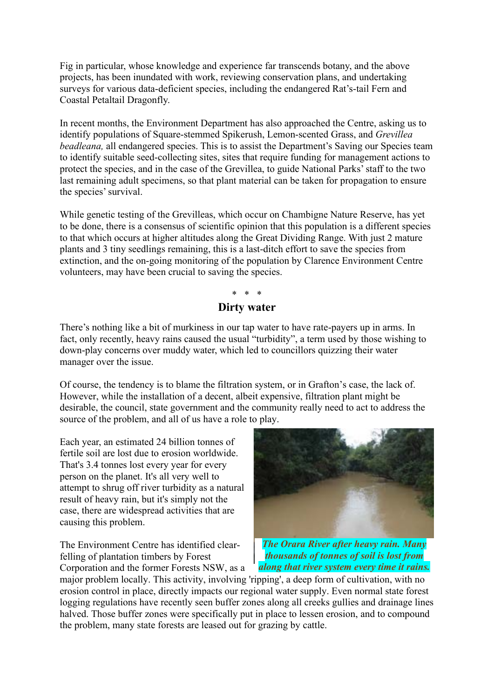Fig in particular, whose knowledge and experience far transcends botany, and the above projects, has been inundated with work, reviewing conservation plans, and undertaking surveys for various data-deficient species, including the endangered Rat's-tail Fern and Coastal Petaltail Dragonfly.

In recent months, the Environment Department has also approached the Centre, asking us to identify populations of Square-stemmed Spikerush, Lemon-scented Grass, and *Grevillea beadleana,* all endangered species. This is to assist the Department's Saving our Species team to identify suitable seed-collecting sites, sites that require funding for management actions to protect the species, and in the case of the Grevillea, to guide National Parks' staff to the two last remaining adult specimens, so that plant material can be taken for propagation to ensure the species' survival.

While genetic testing of the Grevilleas, which occur on Chambigne Nature Reserve, has yet to be done, there is a consensus of scientific opinion that this population is a different species to that which occurs at higher altitudes along the Great Dividing Range. With just 2 mature plants and 3 tiny seedlings remaining, this is a last-ditch effort to save the species from extinction, and the on-going monitoring of the population by Clarence Environment Centre volunteers, may have been crucial to saving the species.

## \* \* \* **Dirty water**

There's nothing like a bit of murkiness in our tap water to have rate-payers up in arms. In fact, only recently, heavy rains caused the usual "turbidity", a term used by those wishing to down-play concerns over muddy water, which led to councillors quizzing their water manager over the issue.

Of course, the tendency is to blame the filtration system, or in Grafton's case, the lack of. However, while the installation of a decent, albeit expensive, filtration plant might be desirable, the council, state government and the community really need to act to address the source of the problem, and all of us have a role to play.

Each year, an estimated 24 billion tonnes of fertile soil are lost due to erosion worldwide. That's 3.4 tonnes lost every year for every person on the planet. It's all very well to attempt to shrug off river turbidity as a natural result of heavy rain, but it's simply not the case, there are widespread activities that are causing this problem.

The Environment Centre has identified clearfelling of plantation timbers by Forest Corporation and the former Forests NSW, as a



*The Orara River after heavy rain. Many thousands of tonnes of soil is lost from along that river system every time it rains.*

major problem locally. This activity, involving 'ripping', a deep form of cultivation, with no erosion control in place, directly impacts our regional water supply. Even normal state forest logging regulations have recently seen buffer zones along all creeks gullies and drainage lines halved. Those buffer zones were specifically put in place to lessen erosion, and to compound the problem, many state forests are leased out for grazing by cattle.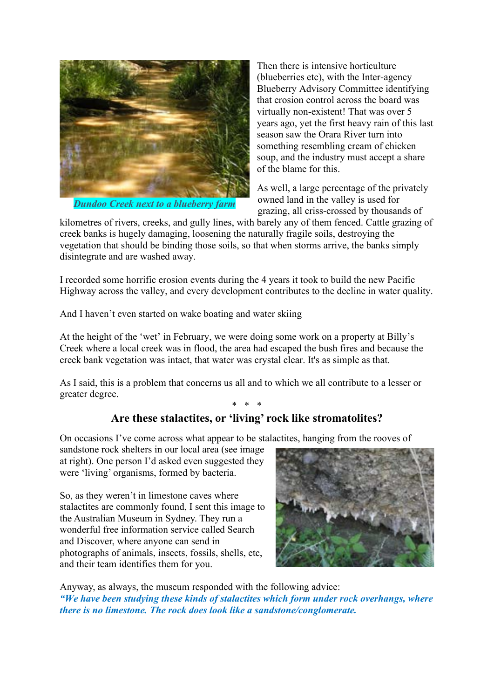

*Dundoo Creek next to a blueberry farm*

Then there is intensive horticulture (blueberries etc), with the Inter-agency Blueberry Advisory Committee identifying that erosion control across the board was virtually non-existent! That was over 5 years ago, yet the first heavy rain of this last season saw the Orara River turn into something resembling cream of chicken soup, and the industry must accept a share of the blame for this.

As well, a large percentage of the privately owned land in the valley is used for grazing, all criss-crossed by thousands of

kilometres of rivers, creeks, and gully lines, with barely any of them fenced. Cattle grazing of creek banks is hugely damaging, loosening the naturally fragile soils, destroying the vegetation that should be binding those soils, so that when storms arrive, the banks simply disintegrate and are washed away.

I recorded some horrific erosion events during the 4 years it took to build the new Pacific Highway across the valley, and every development contributes to the decline in water quality.

And I haven't even started on wake boating and water skiing

At the height of the 'wet' in February, we were doing some work on a property at Billy's Creek where a local creek was in flood, the area had escaped the bush fires and because the creek bank vegetation was intact, that water was crystal clear. It's as simple as that.

As I said, this is a problem that concerns us all and to which we all contribute to a lesser or greater degree.

## \* \* \* **Are these stalactites, or 'living' rock like stromatolites?**

On occasions I've come across what appear to be stalactites, hanging from the rooves of

sandstone rock shelters in our local area (see image at right). One person I'd asked even suggested they were 'living' organisms, formed by bacteria.

So, as they weren't in limestone caves where stalactites are commonly found, I sent this image to the Australian Museum in Sydney. They run a wonderful free information service called Search and Discover, where anyone can send in photographs of animals, insects, fossils, shells, etc, and their team identifies them for you.



Anyway, as always, the museum responded with the following advice: *"We have been studying these kinds of stalactites which form under rock overhangs, where there is no limestone. The rock does look like a sandstone/conglomerate.*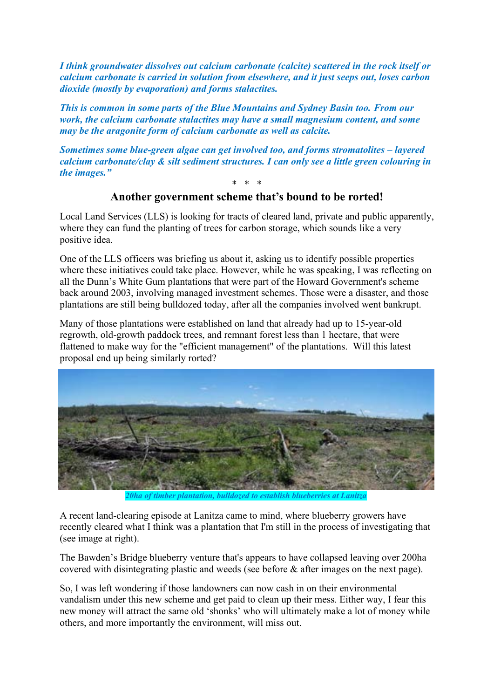*I think groundwater dissolves out calcium carbonate (calcite) scattered in the rock itself or calcium carbonate is carried in solution from elsewhere, and it just seeps out, loses carbon dioxide (mostly by evaporation) and forms stalactites.*

*This is common in some parts of the Blue Mountains and Sydney Basin too. From our work, the calcium carbonate stalactites may have a small magnesium content, and some may be the aragonite form of calcium carbonate as well as calcite.*

*Sometimes some blue-green algae can get involved too, and forms stromatolites – layered calcium carbonate/clay & silt sediment structures. I can only see a little green colouring in the images."*

## \* \* \* **Another government scheme that's bound to be rorted!**

Local Land Services (LLS) is looking for tracts of cleared land, private and public apparently, where they can fund the planting of trees for carbon storage, which sounds like a very positive idea.

One of the LLS officers was briefing us about it, asking us to identify possible properties where these initiatives could take place. However, while he was speaking, I was reflecting on all the Dunn's White Gum plantations that were part of the Howard Government's scheme back around 2003, involving managed investment schemes. Those were a disaster, and those plantations are still being bulldozed today, after all the companies involved went bankrupt.

Many of those plantations were established on land that already had up to 15-year-old regrowth, old-growth paddock trees, and remnant forest less than 1 hectare, that were flattened to make way for the "efficient management" of the plantations. Will this latest proposal end up being similarly rorted?



*20ha of timber plantation, bulldozed to establish blueberries at Lanitza*

A recent land-clearing episode at Lanitza came to mind, where blueberry growers have recently cleared what I think was a plantation that I'm still in the process of investigating that (see image at right).

The Bawden's Bridge blueberry venture that's appears to have collapsed leaving over 200ha covered with disintegrating plastic and weeds (see before & after images on the next page).

So, I was left wondering if those landowners can now cash in on their environmental vandalism under this new scheme and get paid to clean up their mess. Either way, I fear this new money will attract the same old 'shonks' who will ultimately make a lot of money while others, and more importantly the environment, will miss out.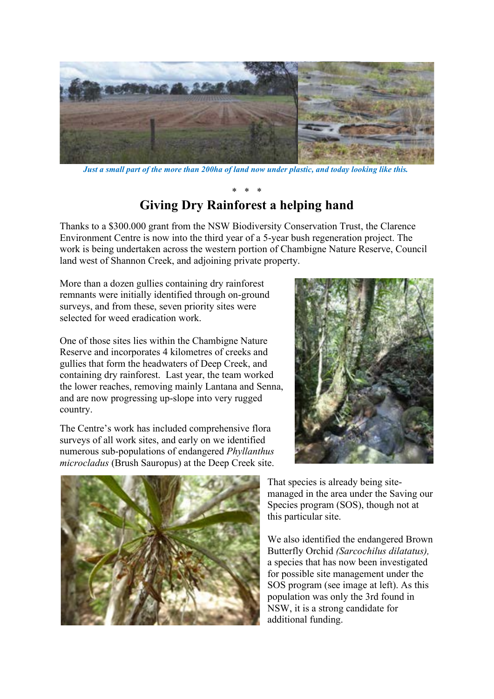

*Just a small part of the more than 200ha of land now under plastic, and today looking like this.*

## \* \* \* **Giving Dry Rainforest a helping hand**

Thanks to a \$300.000 grant from the NSW Biodiversity Conservation Trust, the Clarence Environment Centre is now into the third year of a 5-year bush regeneration project. The work is being undertaken across the western portion of Chambigne Nature Reserve, Council land west of Shannon Creek, and adjoining private property.

More than a dozen gullies containing dry rainforest remnants were initially identified through on-ground surveys, and from these, seven priority sites were selected for weed eradication work.

One of those sites lies within the Chambigne Nature Reserve and incorporates 4 kilometres of creeks and gullies that form the headwaters of Deep Creek, and containing dry rainforest. Last year, the team worked the lower reaches, removing mainly Lantana and Senna, and are now progressing up-slope into very rugged country.

The Centre's work has included comprehensive flora surveys of all work sites, and early on we identified numerous sub-populations of endangered *Phyllanthus microcladus* (Brush Sauropus) at the Deep Creek site.





That species is already being sitemanaged in the area under the Saving our Species program (SOS), though not at this particular site.

We also identified the endangered Brown Butterfly Orchid *(Sarcochilus dilatatus),* a species that has now been investigated for possible site management under the SOS program (see image at left). As this population was only the 3rd found in NSW, it is a strong candidate for additional funding.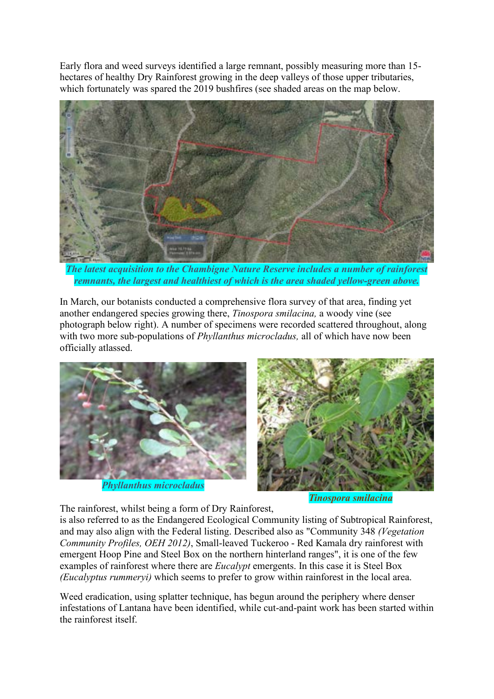Early flora and weed surveys identified a large remnant, possibly measuring more than 15 hectares of healthy Dry Rainforest growing in the deep valleys of those upper tributaries, which fortunately was spared the 2019 bushfires (see shaded areas on the map below.



*The latest acquisition to the Chambigne Nature Reserve includes a number of rainforest remnants, the largest and healthiest of which is the area shaded yellow-green above.*

In March, our botanists conducted a comprehensive flora survey of that area, finding yet another endangered species growing there, *Tinospora smilacina,* a woody vine (see photograph below right). A number of specimens were recorded scattered throughout, along with two more sub-populations of *Phyllanthus microcladus,* all of which have now been officially atlassed.



*Phyllanthus microcladus*



*Tinospora smilacina*

The rainforest, whilst being a form of Dry Rainforest,

is also referred to as the Endangered Ecological Community listing of Subtropical Rainforest, and may also align with the Federal listing. Described also as "Community 348 *(Vegetation Community Profiles, OEH 2012)*, Small-leaved Tuckeroo - Red Kamala dry rainforest with emergent Hoop Pine and Steel Box on the northern hinterland ranges", it is one of the few examples of rainforest where there are *Eucalypt* emergents. In this case it is Steel Box *(Eucalyptus rummeryi)* which seems to prefer to grow within rainforest in the local area.

Weed eradication, using splatter technique, has begun around the periphery where denser infestations of Lantana have been identified, while cut-and-paint work has been started within the rainforest itself.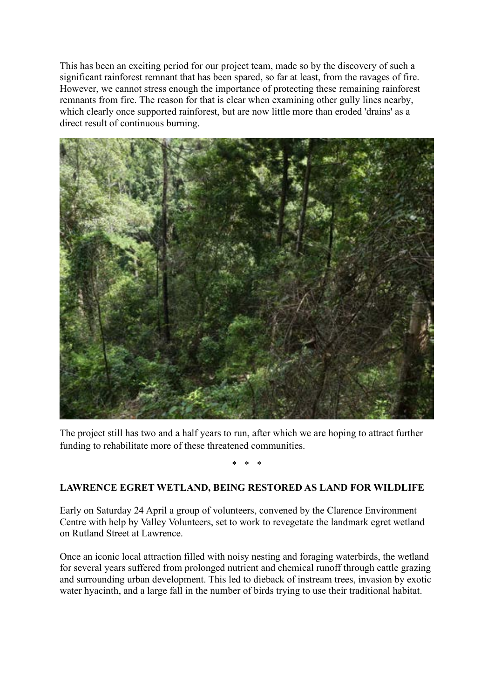This has been an exciting period for our project team, made so by the discovery of such a significant rainforest remnant that has been spared, so far at least, from the ravages of fire. However, we cannot stress enough the importance of protecting these remaining rainforest remnants from fire. The reason for that is clear when examining other gully lines nearby, which clearly once supported rainforest, but are now little more than eroded 'drains' as a direct result of continuous burning.



The project still has two and a half years to run, after which we are hoping to attract further funding to rehabilitate more of these threatened communities.

\* \* \*

## **LAWRENCE EGRET WETLAND, BEING RESTORED AS LAND FOR WILDLIFE**

Early on Saturday 24 April a group of volunteers, convened by the Clarence Environment Centre with help by Valley Volunteers, set to work to revegetate the landmark egret wetland on Rutland Street at Lawrence.

Once an iconic local attraction filled with noisy nesting and foraging waterbirds, the wetland for several years suffered from prolonged nutrient and chemical runoff through cattle grazing and surrounding urban development. This led to dieback of instream trees, invasion by exotic water hyacinth, and a large fall in the number of birds trying to use their traditional habitat.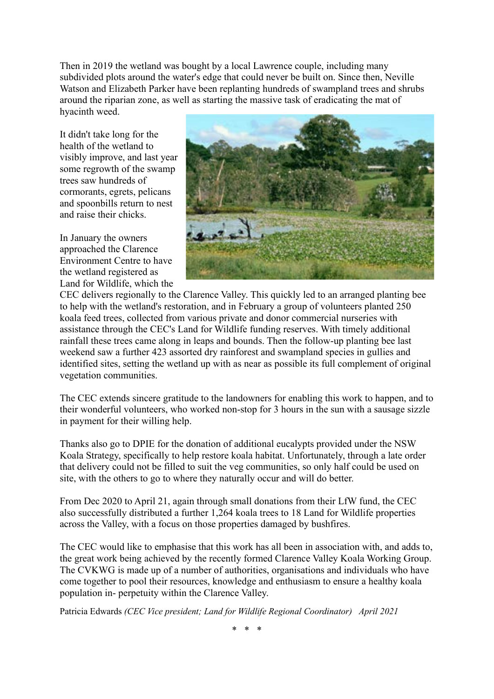Then in 2019 the wetland was bought by a local Lawrence couple, including many subdivided plots around the water's edge that could never be built on. Since then, Neville Watson and Elizabeth Parker have been replanting hundreds of swampland trees and shrubs around the riparian zone, as well as starting the massive task of eradicating the mat of hyacinth weed.

It didn't take long for the health of the wetland to visibly improve, and last year some regrowth of the swamp trees saw hundreds of cormorants, egrets, pelicans and spoonbills return to nest and raise their chicks.

In January the owners approached the Clarence Environment Centre to have the wetland registered as Land for Wildlife, which the



CEC delivers regionally to the Clarence Valley. This quickly led to an arranged planting bee to help with the wetland's restoration, and in February a group of volunteers planted 250 koala feed trees, collected from various private and donor commercial nurseries with assistance through the CEC's Land for Wildlife funding reserves. With timely additional rainfall these trees came along in leaps and bounds. Then the follow-up planting bee last weekend saw a further 423 assorted dry rainforest and swampland species in gullies and identified sites, setting the wetland up with as near as possible its full complement of original vegetation communities.

The CEC extends sincere gratitude to the landowners for enabling this work to happen, and to their wonderful volunteers, who worked non-stop for 3 hours in the sun with a sausage sizzle in payment for their willing help.

Thanks also go to DPIE for the donation of additional eucalypts provided under the NSW Koala Strategy, specifically to help restore koala habitat. Unfortunately, through a late order that delivery could not be filled to suit the veg communities, so only half could be used on site, with the others to go to where they naturally occur and will do better.

From Dec 2020 to April 21, again through small donations from their LfW fund, the CEC also successfully distributed a further 1,264 koala trees to 18 Land for Wildlife properties across the Valley, with a focus on those properties damaged by bushfires.

The CEC would like to emphasise that this work has all been in association with, and adds to, the great work being achieved by the recently formed Clarence Valley Koala Working Group. The CVKWG is made up of a number of authorities, organisations and individuals who have come together to pool their resources, knowledge and enthusiasm to ensure a healthy koala population in- perpetuity within the Clarence Valley.

Patricia Edwards *(CEC Vice president; Land for Wildlife Regional Coordinator) April 2021*

\* \* \*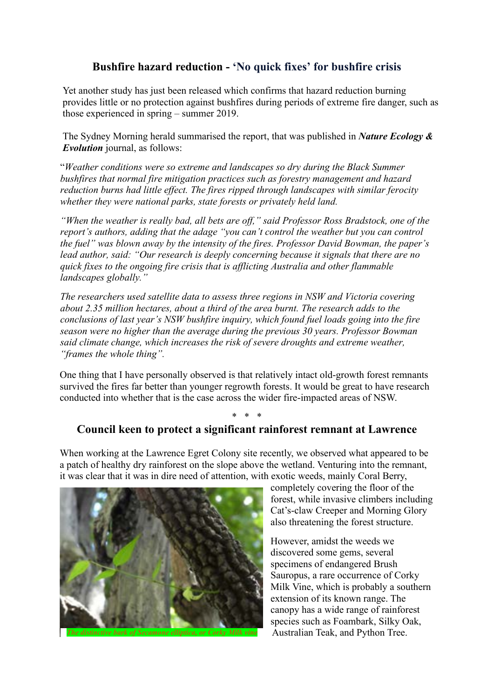## **Bushfire hazard reduction - 'No quick fixes' for bushfire crisis**

Yet another study has just been released which confirms that hazard reduction burning provides little or no protection against bushfires during periods of extreme fire danger, such as those experienced in spring – summer 2019.

The Sydney Morning herald summarised the report, that was published in *Nature Ecology & Evolution* journal, as follows:

"*Weather conditions were so extreme and landscapes so dry during the Black Summer bushfires that normal fire mitigation practices such as forestry management and hazard reduction burns had little effect. The fires ripped through landscapes with similar ferocity whether they were national parks, state forests or privately held land.*

*"When the weather is really bad, all bets are off," said Professor Ross Bradstock, one of the report's authors, adding that the adage "you can't control the weather but you can control the fuel" was blown away by the intensity of the fires. Professor David Bowman, the paper's lead author, said: "Our research is deeply concerning because it signals that there are no quick fixes to the ongoing fire crisis that is afflicting Australia and other flammable landscapes globally."*

*The researchers used satellite data to assess three regions in NSW and Victoria covering about 2.35 million hectares, about a third of the area burnt. The research adds to the conclusions of last year's NSW bushfire inquiry, which found fuel loads going into the fire season were no higher than the average during the previous 30 years. Professor Bowman said climate change, which increases the risk of severe droughts and extreme weather, "frames the whole thing".*

One thing that I have personally observed is that relatively intact old-growth forest remnants survived the fires far better than younger regrowth forests. It would be great to have research conducted into whether that is the case across the wider fire-impacted areas of NSW.

## \* \* \* **Council keen to protect a significant rainforest remnant at Lawrence**

When working at the Lawrence Egret Colony site recently, we observed what appeared to be a patch of healthy dry rainforest on the slope above the wetland. Venturing into the remnant, it was clear that it was in dire need of attention, with exotic weeds, mainly Coral Berry,



completely covering the floor of the forest, while invasive climbers including Cat's-claw Creeper and Morning Glory also threatening the forest structure.

However, amidst the weeds we discovered some gems, several specimens of endangered Brush Sauropus, a rare occurrence of Corky Milk Vine, which is probably a southern extension of its known range. The canopy has a wide range of rainforest species such as Foambark, Silky Oak, *The distinctive bark of Secamone elliptica, or Corky Milk vine* Australian Teak, and Python Tree.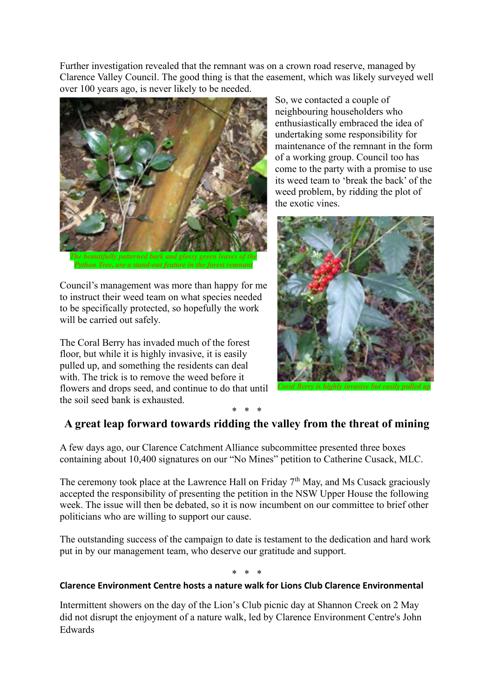Further investigation revealed that the remnant was on a crown road reserve, managed by Clarence Valley Council. The good thing is that the easement, which was likely surveyed well over 100 years ago, is never likely to be needed.



Council's management was more than happy for me to instruct their weed team on what species needed to be specifically protected, so hopefully the work will be carried out safely.

The Coral Berry has invaded much of the forest floor, but while it is highly invasive, it is easily pulled up, and something the residents can deal with. The trick is to remove the weed before it flowers and drops seed, and continue to do that until the soil seed bank is exhausted.

So, we contacted a couple of neighbouring householders who enthusiastically embraced the idea of undertaking some responsibility for maintenance of the remnant in the form of a working group. Council too has come to the party with a promise to use its weed team to 'break the back' of the weed problem, by ridding the plot of the exotic vines.



## \* \* \* **A great leap forward towards ridding the valley from the threat of mining**

A few days ago, our Clarence Catchment Alliance subcommittee presented three boxes containing about 10,400 signatures on our "No Mines" petition to Catherine Cusack, MLC.

The ceremony took place at the Lawrence Hall on Friday  $7<sup>th</sup>$  May, and Ms Cusack graciously accepted the responsibility of presenting the petition in the NSW Upper House the following week. The issue will then be debated, so it is now incumbent on our committee to brief other politicians who are willing to support our cause.

The outstanding success of the campaign to date is testament to the dedication and hard work put in by our management team, who deserve our gratitude and support.

\* \* \*

## **Clarence Environment Centre hosts a nature walk for Lions Club Clarence Environmental**

Intermittent showers on the day of the Lion's Club picnic day at Shannon Creek on 2 May did not disrupt the enjoyment of a nature walk, led by Clarence Environment Centre's John Edwards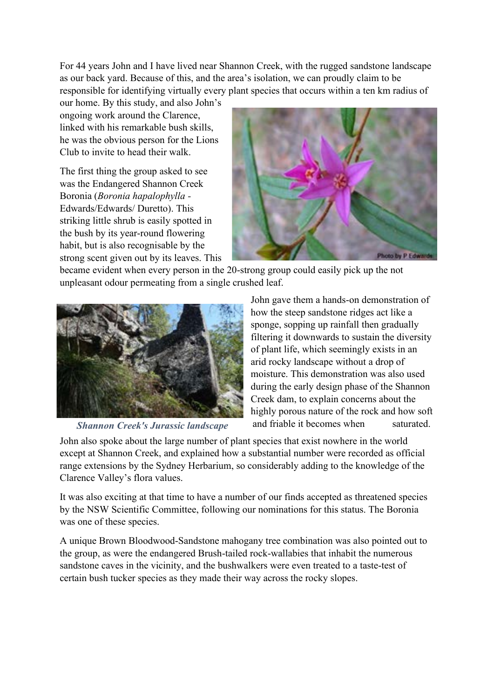For 44 years John and I have lived near Shannon Creek, with the rugged sandstone landscape as our back yard. Because of this, and the area's isolation, we can proudly claim to be responsible for identifying virtually every plant species that occurs within a ten km radius of

our home. By this study, and also John's ongoing work around the Clarence, linked with his remarkable bush skills, he was the obvious person for the Lions Club to invite to head their walk.

The first thing the group asked to see was the Endangered Shannon Creek Boronia (*Boronia hapalophylla -* Edwards/Edwards/ Duretto). This striking little shrub is easily spotted in the bush by its year-round flowering habit, but is also recognisable by the strong scent given out by its leaves. This



became evident when every person in the 20-strong group could easily pick up the not unpleasant odour permeating from a single crushed leaf.



*Shannon Creek's Jurassic landscape*

John gave them a hands-on demonstration of how the steep sandstone ridges act like a sponge, sopping up rainfall then gradually filtering it downwards to sustain the diversity of plant life, which seemingly exists in an arid rocky landscape without a drop of moisture. This demonstration was also used during the early design phase of the Shannon Creek dam, to explain concerns about the highly porous nature of the rock and how soft and friable it becomes when saturated.

John also spoke about the large number of plant species that exist nowhere in the world except at Shannon Creek, and explained how a substantial number were recorded as official range extensions by the Sydney Herbarium, so considerably adding to the knowledge of the Clarence Valley's flora values.

It was also exciting at that time to have a number of our finds accepted as threatened species by the NSW Scientific Committee, following our nominations for this status. The Boronia was one of these species.

A unique Brown Bloodwood-Sandstone mahogany tree combination was also pointed out to the group, as were the endangered Brush-tailed rock-wallabies that inhabit the numerous sandstone caves in the vicinity, and the bushwalkers were even treated to a taste-test of certain bush tucker species as they made their way across the rocky slopes.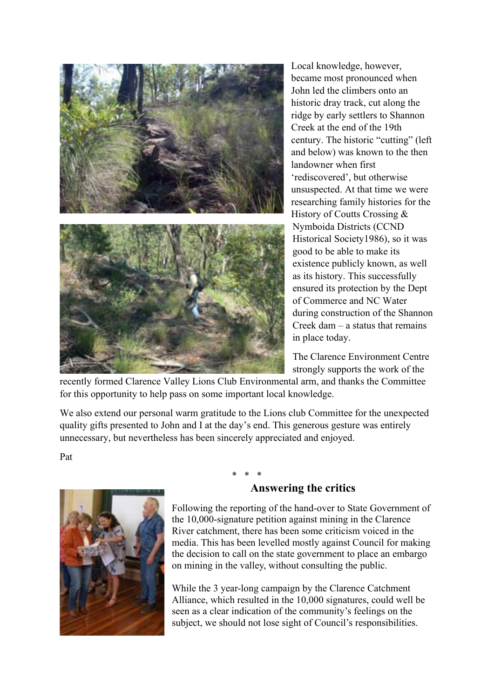

Local knowledge, however, became most pronounced when John led the climbers onto an historic dray track, cut along the ridge by early settlers to Shannon Creek at the end of the 19th century. The historic "cutting" (left and below) was known to the then landowner when first 'rediscovered', but otherwise unsuspected. At that time we were researching family histories for the History of Coutts Crossing & Nymboida Districts (CCND Historical Society1986), so it was good to be able to make its existence publicly known, as well as its history. This successfully ensured its protection by the Dept of Commerce and NC Water during construction of the Shannon Creek dam – a status that remains in place today.

The Clarence Environment Centre strongly supports the work of the

recently formed Clarence Valley Lions Club Environmental arm, and thanks the Committee for this opportunity to help pass on some important local knowledge.

We also extend our personal warm gratitude to the Lions club Committee for the unexpected quality gifts presented to John and I at the day's end. This generous gesture was entirely unnecessary, but nevertheless has been sincerely appreciated and enjoyed.

Pat



## \* \* \* **Answering the critics**

Following the reporting of the hand-over to State Government of the 10,000-signature petition against mining in the Clarence River catchment, there has been some criticism voiced in the media. This has been levelled mostly against Council for making the decision to call on the state government to place an embargo on mining in the valley, without consulting the public.

While the 3 year-long campaign by the Clarence Catchment Alliance, which resulted in the 10,000 signatures, could well be seen as a clear indication of the community's feelings on the subject, we should not lose sight of Council's responsibilities.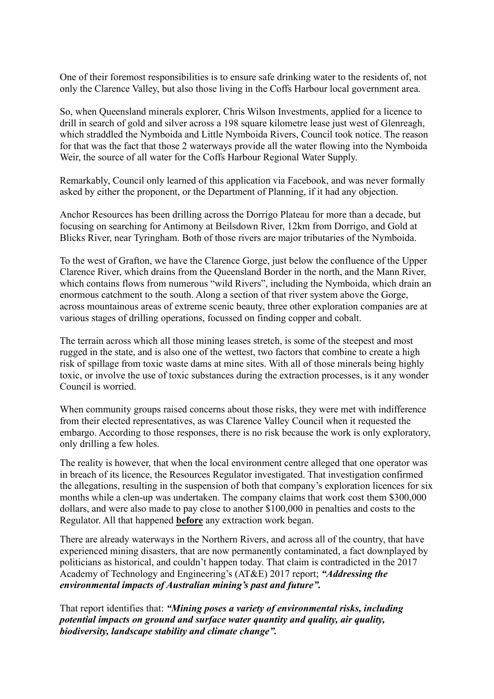One of their foremost responsibilities is to ensure safe drinking water to the residents of, not only the Clarence Valley, but also those living in the Coffs Harbour local government area.

So, when Queensland minerals explorer, Chris Wilson Investments, applied for a licence to drill in search of gold and silver across a 198 square kilometre lease just west of Glenreagh, which straddled the Nymboida and Little Nymboida Rivers, Council took notice. The reason for that was the fact that those 2 waterways provide all the water flowing into the Nymboida Weir, the source of all water for the Coffs Harbour Regional Water Supply.

Remarkably, Council only learned of this application via Facebook, and was never formally asked by either the proponent, or the Department of Planning, if it had any objection.

Anchor Resources has been drilling across the Dorrigo Plateau for more than a decade, but focusing on searching for Antimony at Beilsdown River, 12km from Dorrigo, and Gold at Blicks River, near Tyringham. Both of those rivers are major tributaries of the Nymboida.

To the west of Grafton, we have the Clarence Gorge, just below the confluence of the Upper Clarence River, which drains from the Queensland Border in the north, and the Mann River, which contains flows from numerous "wild Rivers", including the Nymboida, which drain an enormous catchment to the south. Along a section of that river system above the Gorge, across mountainous areas of extreme scenic beauty, three other exploration companies are at various stages of drilling operations, focussed on finding copper and cobalt.

The terrain across which all those mining leases stretch, is some of the steepest and most rugged in the state, and is also one of the wettest, two factors that combine to create a high risk of spillage from toxic waste dams at mine sites. With all of those minerals being highly toxic, or involve the use of toxic substances during the extraction processes, is it any wonder Council is worried.

When community groups raised concerns about those risks, they were met with indifference from their elected representatives, as was Clarence Valley Council when it requested the embargo. According to those responses, there is no risk because the work is only exploratory, only drilling a few holes.

The reality is however, that when the local environment centre alleged that one operator was in breach of its licence, the Resources Regulator investigated. That investigation confirmed the allegations, resulting in the suspension of both that company's exploration licences for six months while a clen-up was undertaken. The company claims that work cost them \$300,000 dollars, and were also made to pay close to another \$100,000 in penalties and costs to the Regulator. All that happened **before** any extraction work began.

There are already waterways in the Northern Rivers, and across all of the country, that have experienced mining disasters, that are now permanently contaminated, a fact downplayed by politicians as historical, and couldn't happen today. That claim is contradicted in the 2017 Academy of Technology and Engineering's (AT&E) 2017 report; *"Addressing the environmental impacts of Australian mining's past and future".*

That report identifies that: *"Mining poses a variety of environmental risks, including potential impacts on ground and surface water quantity and quality, air quality, biodiversity, landscape stability and climate change".*